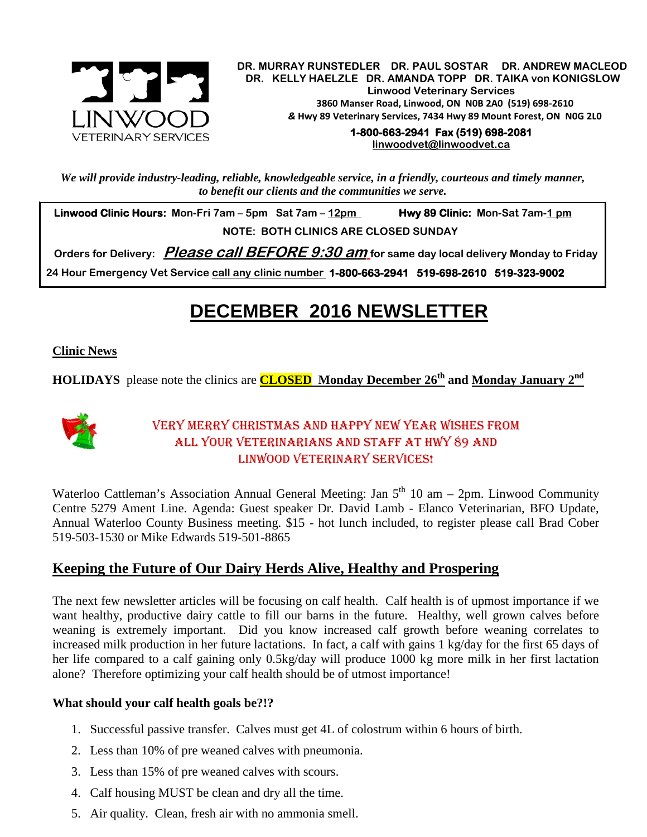

.  **DR. MURRAY RUNSTEDLER DR. PAUL SOSTAR DR. ANDREW MACLEOD DR. KELLY HAELZLE DR. AMANDA TOPP DR. TAIKA von KONIGSLOW Linwood Veterinary Services 3860 Manser Road, Linwood, ON N0B 2A0 (519) 698-2610** *&* **Hwy 89 Veterinary Services, 7434 Hwy 89 Mount Forest, ON N0G 2L0**

> **1-800-663-2941 Fax (519) 698-2081 [linwoodvet@linwoodvet.ca](mailto:linwoodvet@linwoodvet.ca)**

*We will provide industry-leading, reliable, knowledgeable service, in a friendly, courteous and timely manner, to benefit our clients and the communities we serve.*

 **Linwood Clinic Hours: Mon-Fri 7am – 5pm Sat 7am – 12pm Hwy 89 Clinic: Mon-Sat 7am-1 pm NOTE: BOTH CLINICS ARE CLOSED SUNDAY**

 **Orders for Delivery: Please call BEFORE 9:30 am for same day local delivery Monday to Friday**

 **24 Hour Emergency Vet Service call any clinic number 1-800-663-2941 519-698-2610 519-323-9002**

# **DECEMBER 2016 NEWSLETTER**

#### **Clinic News**

**HOLIDAYS** please note the clinics are **CLOSED Monday December 26th and Monday January 2nd**



### Very Merry Christmas and Happy New Year wishes from all your veterinarians and staff at Hwy 89 and LINWOOD VETERINARY SERVICES!

Waterloo Cattleman's Association Annual General Meeting: Jan  $5<sup>th</sup>$  10 am – 2pm. Linwood Community Centre 5279 Ament Line. Agenda: Guest speaker Dr. David Lamb - Elanco Veterinarian, BFO Update, Annual Waterloo County Business meeting. \$15 - hot lunch included, to register please call Brad Cober 519-503-1530 or Mike Edwards 519-501-8865

## **Keeping the Future of Our Dairy Herds Alive, Healthy and Prospering**

The next few newsletter articles will be focusing on calf health. Calf health is of upmost importance if we want healthy, productive dairy cattle to fill our barns in the future. Healthy, well grown calves before weaning is extremely important. Did you know increased calf growth before weaning correlates to increased milk production in her future lactations. In fact, a calf with gains 1 kg/day for the first 65 days of her life compared to a calf gaining only 0.5kg/day will produce 1000 kg more milk in her first lactation alone? Therefore optimizing your calf health should be of utmost importance!

#### **What should your calf health goals be?!?**

- 1. Successful passive transfer. Calves must get 4L of colostrum within 6 hours of birth.
- 2. Less than 10% of pre weaned calves with pneumonia.
- 3. Less than 15% of pre weaned calves with scours.
- 4. Calf housing MUST be clean and dry all the time.
- 5. Air quality. Clean, fresh air with no ammonia smell.